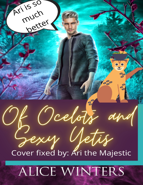Ari is 50 much Detter **PO** Deelots y Netis Cover fixed by: Ari the Majestic ALICE WINTERS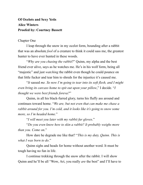## **Of Ocelots and Sexy Yetis Alice Winters Proofed by: Courtney Bassett**

## Chapter One

I leap through the snow in my ocelot form, bounding after a rabbit that was an absolute *fool* of a creature to think it could sass me, the greatest hunter to have ever hunted in these woods.

"*Why are you chasing the rabbit*?" Quinn, my alpha and the best friend ever alive, says as he watches me. He's in his wolf form, being all "majestic" and just *watching* the rabbit even though he could pounce on that little fucker and tear him to shreds for the injustice it's caused me.

"*It* sassed *me. So now I'm going to tear into its soft flesh, and I might even bring its carcass home to spit out upon your pillow*," I decide. "*I thought we were best friends foreva?*"

Quinn, in all his black-furred glory, turns his fluffy ass around and continues toward home. "*We are, but not even that can make me chase a rabbit around for you. I'm cold, and it looks like it's going to snow some more, so I'm headed home.*"

"*I will meet you later with my rabbit fur gloves*."

"*Do you even know how to skin a rabbit? It probably weighs more than you. Come on*."

How dare he degrade me like that? "*This is my duty, Quinn. This is what I was born to do*."

Quinn sighs and heads for home without another word. It must be tough having no fun in life.

I continue trekking through the snow after the rabbit. I will show Quinn and he'll be all "Wow, Ari, you really *are* the best" and I'll have to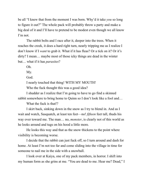be all "I knew that from the moment I was born. Why'd it take *you* so long to figure it out?" The whole pack will probably throw a party and make a big deal of it and I'll have to pretend to be modest even though we all know I'm not.

The rabbit bolts and I race after it, deeper into the trees. When it reaches the creek, it does a hard right turn, nearly tripping me as I realize I don't know if I *want* to grab it. What if it has fleas? Or a tick on it? Or it's dirty? I mean… maybe most of those icky things are dead in the winter but… what if it has *parasites*?

Oh.

My.

God.

I nearly touched that thing! WITH MY MOUTH!

Who the fuck thought this was a good idea?

I shudder as I realize that I'm going to have to go find a skinned rabbit somewhere to bring home to Quinn so I don't look like a fool and…

What the fuck is that!?

I skirt back, sinking down in the snow as I try to blend in. And as I wait and watch, Sasquatch, at least ten feet—no! *fifteen* feet tall, thuds his way over toward me. The man… no, *monster*, is clearly not of this world as he looks around and tugs on his hood a little more.

He looks this way and that as the snow thickens to the point where visibility is becoming worse.

I decide that the rabbit can just fuck off, so I turn around and dash for home. At least I'm not too far and come sliding into the village in time for someone to nail me in the side with a snowball.

I look over at Kaiya, one of my pack members, in horror. I shift into my human form as she grins at me. "You are dead to me. Hear me? Dead," I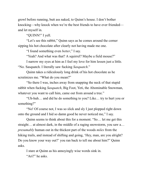growl before running, butt ass naked, to Quinn's house. I don't bother knocking—why knock when we're the best friends to have ever friended and let myself in.

"QUINN!" I yell.

"Let's see this rabbit," Quinn says as he comes around the corner sipping his hot chocolate after clearly not having made me one.

"I found something even *better*," I say.

"Yeah? And what was that? A squirrel? Maybe a field mouse?"

I narrow my eyes at him as I feel my love for him lessen just a little. "No. Sasquatch. I literally saw fucking *Sasquatch*."

Quinn takes a ridiculously long drink of his hot chocolate as he scrutinizes me. "What do you mean?"

"So there I was, inches away from snapping the neck of that stupid rabbit when fucking *Sasquatch*, Big Foot, Yeti, the Abominable Snowman, whatever you want to call him, came out from around a tree."

"Uh-huh… and did he do something to you? Like… try to hurt you or something?"

"No! Of course not, I was so slick and sly I just plopped right down onto the ground and I hid so damn good he never noticed me," I say.

Quinn seems to think about this for a moment. "So… let me get this straight… at almost dark, in the middle of a raging snowstorm, you saw a… *presumably* human out in the thickest part of the woods *miles* from the hiking trails, and instead of shifting and going, 'Hey, man, are you alright? Do you know your way out?' you ran back to tell me about him?" Quinn asks.

I stare at Quinn as his annoyingly wise words sink in.

"Ari?" he asks.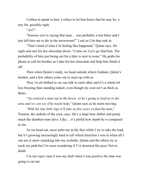I refuse to speak to him. I refuse to let him know that he may be, a tiny bit, possibly right.

"*Ari*?"

"Sooooo you're saying that man… was probably a lost hiker and I just left him out to die in the snowstorm?" I ask as I let that sink in.

"That's kind of what I'm feeling like happened," Quinn says. He sighs and sets his hot chocolate down. "Come on. Let's go find him. The probability of him just being out for a hike is next to none." He grabs his phone to call his brother as I take his hot chocolate and help him finish it off.

Then when Quinn's ready, we head outside where Graham, Quinn's brother, and a few others come out to meet up with us.

They've all shifted so we can talk to each other and it's a whole lot less freezing than standing naked, even though my coat isn't as thick as theirs.

"*Ari noticed a man out in the forest, so he's going to lead us to the area and we can see if he needs help*," Quinn says as he starts moving.

"*With his tiny little legs it'll take us five years to find the man*," Trenton, the asshole of the crew, says. He's a large bear shifter and pretty much the dumbest man alive. Like… it's pitiful how dumb he is compared to me.

As we head out, snow pelts me in the face while I try to take the lead, but it's growing increasingly hard to tell which direction I was in when all I can see is snow smacking into my eyeballs. Quinn and the others try to track my path but I'm soon wondering if I've destined this poor Yeti to death.

I'm not *super* sure it was my fault when I was positive the man was going to eat me.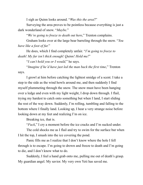I sigh as Quinn looks around. "*Was this the area*?"

Surveying the area proves to be pointless because everything is just a dark wonderland of snow. "*Maybe*."

"*We're going to freeze to death out here*," Trenton complains.

Graham looks over at the large bear barreling through the snow. "*You have like a foot of fur.*"

He does, which I find completely unfair. "*I'm going to freeze to death! My fur isn't thick enough! Quinn! Hold me!*"

"*I can't hold you or I would,*" he says.

"*Imagine if he'd have just led the man back the first time*," Trenton says.

I growl at him before catching the lightest smidge of a scent. I take a step to the side as the wind howls around me, and then suddenly I find myself plummeting through the snow. The snow must have been hanging over a ledge and even with my light weight, I drop down through. I flail, trying my hardest to catch onto something but when I land, I start sliding the rest of the way down. Suddenly, I'm rolling, tumbling and falling to the bottom where I finally land. Looking up, I hear a very strange noise before looking down at my feet and realizing I'm on ice.

Breaking ice, that is.

"*Fuck*," I cry a moment before the ice cracks and I'm sucked under.

The cold shocks me as I flail and try to swim for the surface but when I hit the top, I smash into the ice covering the pond.

Panic fills me as I realize that I don't know where the hole I fell through is to escape. I'm going to drown and freeze to death and I'm going to die, and I don't know what to do.

Suddenly, I feel a hand grab onto me, pulling me out of death's grasp. My guardian angel. My savior. My very own Yeti has saved me.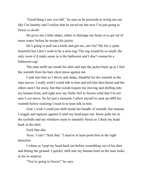"Good thing I saw you fall," he says as he proceeds to wring me out like I'm laundry and I realize that he saved me but now I'm just going to freeze *to death*.

He gives me a little shake, either to dislodge my brain or to get rid of more water, before he unzips his jacket.

He's going to pull out a knife and gut me, isn't he? My fur *is* quite beautiful but I don't want to be a mini rug! The rug would be so small, the only room it'd make sense in is the bathroom and I don't wanna be a bathroom rug!

The man stuffs me inside his shirt and zips the jacket back up as I feel the warmth from his bare chest press against me.

I sink into him as I shiver and shake, thankful for the warmth as the man moves. I really wish I could talk to him and tell him that Quinn and the others aren't far away, but that would require me moving and shifting into my human form, and right now my limbs feel so frozen solid that I'm not sure I *can* move. So for just a moment, I allow myself to suck up alllll his warmth before realizing I need to at least talk to him.

God, I wish I could just shift inside his bundle of warmth, but instead, I wiggle and squeeze against it until my head pops out. Snow pelts me in the eyeballs and my whiskers seem to instantly freeze as I duck my head back in the shirt.

Fuck that shit.

*Nooo,* I can't "fuck that." I need to at least point him in the right direction.

I whine as I pop my head back out before scrambling out of his shirt and hitting the ground. I quickly shift into my human form as the man looks at me in surprise.

"You're going to freeze!" he says.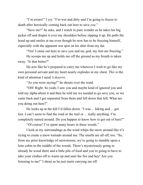"I'm aware!" I cry. "I'm wet and dirty and I'm going to freeze to death after heroically coming back out here to save *you*."

"Save me?" he asks, and I watch in pure wonder as he takes his big jacket off and drapes it over my shoulders before zipping it up. He pulls the hood up and smiles at me even though he now has to be freezing himself, especially with the apparent wet spot on his shirt from my fur.

"Yes! I came out here to save you and my god, my feet are freezing."

He scoops me up and holds me off the ground as my breath is taken away. "Is that better?"

He acts like he's prepared to carry me wherever I wish to go like my own personal servant and my heart nearly explodes in my chest. *This* is the kind of attention I need. I *deserve*.

"As you were saying?" he shouts over the wind.

"OH! Right. So yeah, I saw you and maybe kind of ignored you and told my alpha about it and then he told me we needed to go save you, so we came back and I got separated from them and fell down that hill. What are you doing out here?"

He looks up at the hill I'd fallen down. "I was… hiking and… got lost. I can't seem to find the road or the trail or… really anything. I'm completely turned around. Do you happen to know how to get out of here?"

"Of course! I've spent many hours in these woods."

I look at my surroundings as the wind whips the snow around like it's trying to create a snow tornado around me. The smells are all off, too. "So, from my prior knowledge of snowstorms, we're going to stumble upon a lone cabin in the middle of the woods. There's mysteriously going to already be wood there and a little pile of food and you're going to have to take your clothes off to warm up and start the fire and hey! Are you listening to me!" I shout as he just starts carrying me off.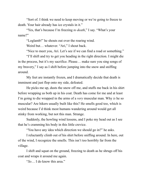"Sort of. I think we need to keep moving or we're going to freeze to death. Your hair already has ice crystals in it."

"Yes, that's because I'm freezing *to death*," I say. "What's your name?"

"Loglamb!" he shouts out over the roaring wind.

Weird but... whatever. "Ari," I shout back.

"Nice to meet you, Ari. Let's see if we can find a road or something."

"I'll shift and try to get you heading in the right direction. I might die in the process, but it's my sacrifice. Please… make sure you sing songs of my bravery," I say as I shift before jumping into the snow and sniffing around.

My feet are instantly frozen, and I dramatically decide that death is imminent and just flop onto my side, defeated.

He picks me up, dusts the snow off me, and stuffs me back in his shirt before wrapping us both up in his coat. Death has come for me and at least I'm going to die wrapped in the arms of a *very* muscular man. Why *is* he so muscular? Are hikers usually built like this? He smells good too, which is weird because I'd think most humans wandering around would get all stinky from working, but not this man. Strange.

Suddenly, the howling wind lessens, and I poke my head out as I see that he's cramming his body in this little crevice.

"You have any idea which direction we should go in?" he asks.

I reluctantly climb out of his shirt before sniffing around. In here, out of the wind, I recognize the smells. This isn't too horribly far from the village.

I shift and squat on the ground, freezing to death as he shrugs off his coat and wraps it around me again.

"*So*… I do know this area."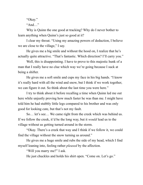"Okay."

"And…"

Why is Quinn the one good at tracking? Why do I never bother to learn anything when Quinn's just so good at it?

I clear my throat. "Using my amazing powers of deduction, I believe we are close to the village," I say.

He gives me a big smile and without the hood on, I realize that he's actually quite attractive. "That's fantastic. Which direction? I'll carry you."

Well, this is disappointing. I have to prove to this majestic hunk of a man that I really have no clue which way we're going because I suck at being a shifter.

He gives me a soft smile and cups my face in his big hands. "I know it's really hard with all the wind and snow, but I think if we work together, we can figure it out. So think about the last time you were here."

I try to think about it before recalling a time when Quinn led me out here while unjustly proving how much faster he was than me. I might have told him he had stubbly little legs compared to his brother and was only good for looking cute, but that's not my fault.

So… let's see… We came right from the creek which was behind us. If we follow the creek, it'd be the long way, but it *would* lead us to the village without us getting turned around in the storm.

"Okay. There's a creek that way and I think if we follow it, we could find the village without the snow turning us around."

He gives me a huge smile and rubs the side of my head, which I find myself leaning into, feeling rather *pleased* by the affection.

"Will you marry me?" I ask.

He just chuckles and holds his shirt open. "Come on. Let's go."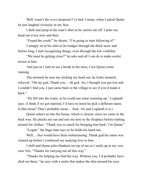Well, wasn't the *worst* proposal I've had. I mean, when I asked Quinn he just laughed viciously in my face.

I shift and jump in the man's shirt as he carries me off. I poke my head out every now and then.

"Found the creek!" he shouts. "I'm going to start following it!"

I smugly sit in his shirt as he trudges through the thick snow and before long, I start recognizing things, even through the low visibility.

"We must be getting close?" he asks and all I can do is make ocelot noises at him.

And just as I start to see a break in the trees, I see Quinn come running.

The moment he sees me sticking my head out, he looks insanely relieved. "Oh my god. Thank you… oh god. Ari, I thought you got lost and I couldn't find you. I just came back to the village to see if you'd made it back."

"He fell into the water, so he could use some warming up," Loglamb says. (I think if we got married, I'd have to insist he pick a different name. Is that mean? That's probably mean… fuck. Ari and Loglamb it is.)

Quinn ushers us into his house, which is closest, since we came in the back way. He plucks me out and sets me next to the fireplace before rushing around for clothes. "Thank you so much for bringing him back. I'm Quinn."

"Logan," the huge man says as he holds his hand out.

Well… *that* would have been embarrassing. Thank god his name was cleared up before I confessed my undying love to him.

I shift and Quinn piles blankets on top of me as I smile up at my very own Yeti. "Thanks for carrying me all this way."

"Thanks for helping me find the way. Without you, I'd probably have died out there," he says with a smile that makes the skin around his eyes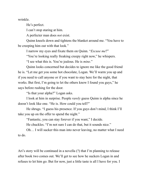wrinkle.

He's perfect.

I can't stop staring at him.

A perfecter man does *not* exist.

Quinn kneels down and tightens the blanket around me. "You have to be creeping him out with that look."

I narrow my eyes and fixate them on Quinn. "*Excuse me*?"

"You're looking really freaking creepy right now," he whispers.

"I see what this is. You're jealous. He is *mine*."

Quinn looks concerned but decides to ignore me like the good friend he is. "Let me get you some hot chocolate, Logan. We'll warm you up and if you need to call anyone or if you want to stay here for the night, that works. But first, I'm going to let the others know I found you guys," he says before rushing for the door.

"Is that your alpha?" Logan asks.

I look at him in surprise. People *rarely* guess Quinn is alpha since he doesn't look like one. "He is. How could you tell?"

He shrugs. "I guess his presence. If you guys don't mind, I think I'll take you up on the offer to spend the night."

"Fantastic, you can stay forever if you want," I decide.

He chuckles. "I'm not sure I can do that, but it sounds nice."

Oh… I will sucker this man into never leaving, no matter what I need to do.

Ari's story will be continued in a novella (?) that I'm planning to release after book two comes out. We'll get to see how he suckers Logan in and refuses to let him go. But for now, just a little taste is all I have for you. I